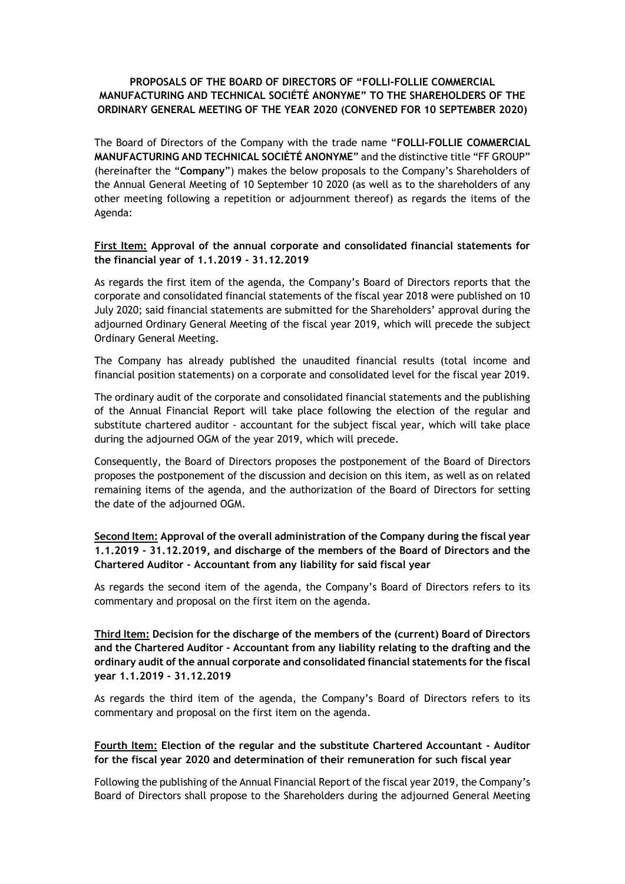# **PROPOSALS OF THE BOARD OF DIRECTORS OF "FOLLI-FOLLIE COMMERCIAL MANUFACTURING AND TECHNICAL SOCIÉTÉ ANONYME" TO THE SHAREHOLDERS OF THE ORDINARY GENERAL MEETING OF THE YEAR 2020 (CONVENED FOR 10 SEPTEMBER 2020)**

The Board of Directors of the Company with the trade name "**FOLLI-FOLLIE COMMERCIAL MANUFACTURING AND TECHNICAL SOCIÉTÉ ANONYME**" and the distinctive title "FF GROUP" (hereinafter the "**Company**") makes the below proposals to the Company's Shareholders of the Annual General Meeting of 10 September 10 2020 (as well as to the shareholders of any other meeting following a repetition or adjournment thereof) as regards the items of the Agenda:

#### **First Item: Approval of the annual corporate and consolidated financial statements for the financial year of 1.1.2019 - 31.12.2019**

As regards the first item of the agenda, the Company's Board of Directors reports that the corporate and consolidated financial statements of the fiscal year 2018 were published on 10 July 2020; said financial statements are submitted for the Shareholders' approval during the adjourned Ordinary General Meeting of the fiscal year 2019, which will precede the subject Ordinary General Meeting.

The Company has already published the unaudited financial results (total income and financial position statements) on a corporate and consolidated level for the fiscal year 2019.

The ordinary audit of the corporate and consolidated financial statements and the publishing of the Annual Financial Report will take place following the election of the regular and substitute chartered auditor - accountant for the subject fiscal year, which will take place during the adjourned OGM of the year 2019, which will precede.

Consequently, the Board of Directors proposes the postponement of the Board of Directors proposes the postponement of the discussion and decision on this item, as well as on related remaining items of the agenda, and the authorization of the Board of Directors for setting the date of the adjourned OGM.

**Second Item: Approval of the overall administration of the Company during the fiscal year 1.1.2019 - 31.12.2019, and discharge of the members of the Board of Directors and the Chartered Auditor - Accountant from any liability for said fiscal year**

As regards the second item of the agenda, the Company's Board of Directors refers to its commentary and proposal on the first item on the agenda.

**Third Item: Decision for the discharge of the members of the (current) Board of Directors and the Chartered Auditor - Accountant from any liability relating to the drafting and the ordinary audit of the annual corporate and consolidated financial statements for the fiscal year 1.1.2019 - 31.12.2019**

As regards the third item of the agenda, the Company's Board of Directors refers to its commentary and proposal on the first item on the agenda.

## **Fourth Item: Election of the regular and the substitute Chartered Accountant - Auditor for the fiscal year 2020 and determination of their remuneration for such fiscal year**

Following the publishing of the Annual Financial Report of the fiscal year 2019, the Company's Board of Directors shall propose to the Shareholders during the adjourned General Meeting